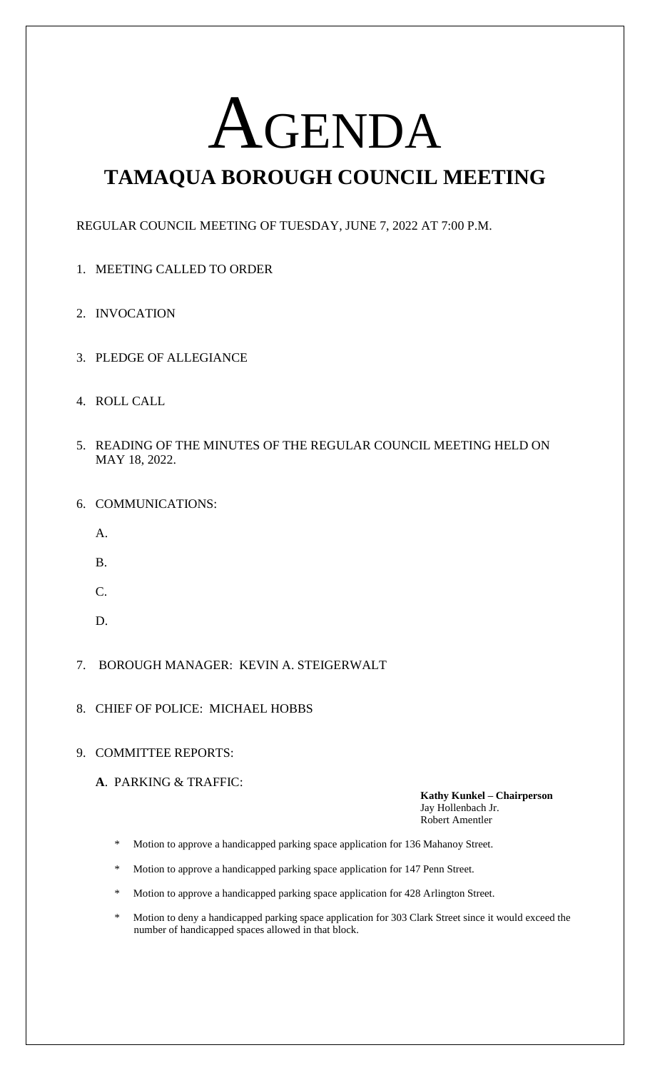# AGENDA

# **TAMAQUA BOROUGH COUNCIL MEETING**

REGULAR COUNCIL MEETING OF TUESDAY, JUNE 7, 2022 AT 7:00 P.M.

- 1. MEETING CALLED TO ORDER
- 2. INVOCATION
- 3. PLEDGE OF ALLEGIANCE
- 4. ROLL CALL
- 5. READING OF THE MINUTES OF THE REGULAR COUNCIL MEETING HELD ON MAY 18, 2022.
- 6. COMMUNICATIONS:
	- A.
	- B.
	- C.
	- D.
- 7. BOROUGH MANAGER: KEVIN A. STEIGERWALT
- 8. CHIEF OF POLICE: MICHAEL HOBBS

## 9. COMMITTEE REPORTS:

**A**. PARKING & TRAFFIC:

**Kathy Kunkel – Chairperson** Jay Hollenbach Jr. Robert Amentler

- \* Motion to approve a handicapped parking space application for 136 Mahanoy Street.
- \* Motion to approve a handicapped parking space application for 147 Penn Street.
- \* Motion to approve a handicapped parking space application for 428 Arlington Street.
- Motion to deny a handicapped parking space application for 303 Clark Street since it would exceed the number of handicapped spaces allowed in that block.